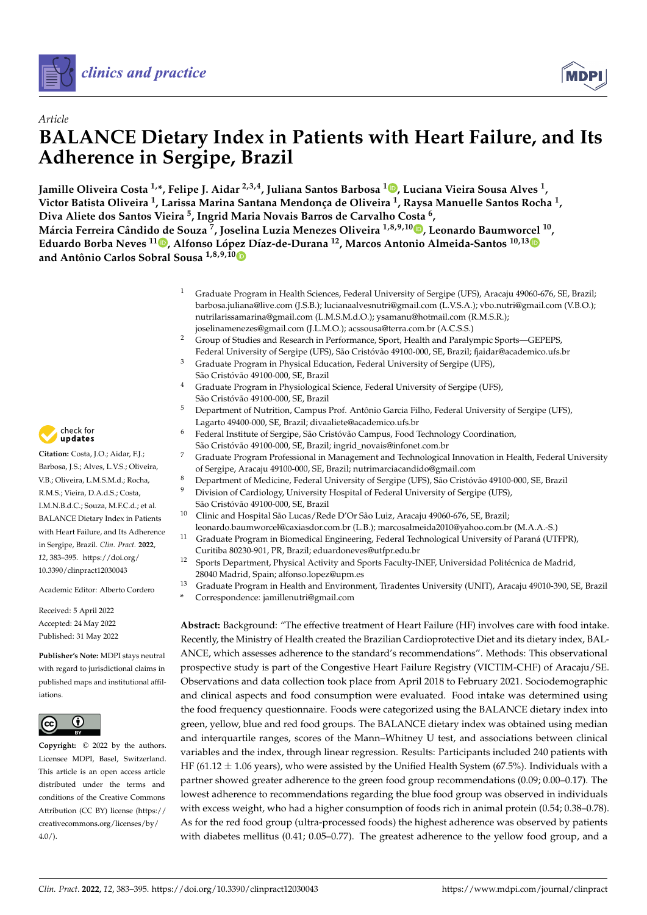



# *Article* **BALANCE Dietary Index in Patients with Heart Failure, and Its Adherence in Sergipe, Brazil**

**Jamille Oliveira Costa 1,\*, Felipe J. Aidar 2,3,4, Juliana Santos Barbosa <sup>1</sup> [,](https://orcid.org/0000-0002-7232-3971) Luciana Vieira Sousa Alves <sup>1</sup> , Victor Batista Oliveira <sup>1</sup> , Larissa Marina Santana Mendonça de Oliveira <sup>1</sup> , Raysa Manuelle Santos Rocha <sup>1</sup> , Diva Aliete dos Santos Vieira <sup>5</sup> , Ingrid Maria Novais Barros de Carvalho Costa <sup>6</sup> ,**

**Márcia Ferreira Cândido de Souza <sup>7</sup> , Joselina Luzia Menezes Oliveira 1,8,9,10 [,](https://orcid.org/0000-0002-4325-0590) Leonardo Baumworcel <sup>10</sup> , Eduardo Borba Neves 1[1](https://orcid.org/0000-0003-4507-6562) , Alfonso López Díaz-de-Durana <sup>12</sup>, Marcos Antonio Almeida-Santos 10,1[3](https://orcid.org/0000-0003-0622-6257) and Antônio Carlos Sobral Sousa 1,8,9,1[0](https://orcid.org/0000-0002-4158-9726)**

- <sup>1</sup> Graduate Program in Health Sciences, Federal University of Sergipe (UFS), Aracaju 49060-676, SE, Brazil; barbosa.juliana@live.com (J.S.B.); lucianaalvesnutri@gmail.com (L.V.S.A.); vbo.nutri@gmail.com (V.B.O.); nutrilarissamarina@gmail.com (L.M.S.M.d.O.); ysamanu@hotmail.com (R.M.S.R.); joselinamenezes@gmail.com (J.L.M.O.); acssousa@terra.com.br (A.C.S.S.)
- <sup>2</sup> Group of Studies and Research in Performance, Sport, Health and Paralympic Sports—GEPEPS, Federal University of Sergipe (UFS), São Cristóvão 49100-000, SE, Brazil; fjaidar@academico.ufs.br
- <sup>3</sup> Graduate Program in Physical Education, Federal University of Sergipe (UFS), São Cristóvão 49100-000, SE, Brazil
- <sup>4</sup> Graduate Program in Physiological Science, Federal University of Sergipe (UFS), São Cristóvão 49100-000, SE, Brazil
- <sup>5</sup> Department of Nutrition, Campus Prof. Antônio Garcia Filho, Federal University of Sergipe (UFS), Lagarto 49400-000, SE, Brazil; divaaliete@academico.ufs.br
- Federal Institute of Sergipe, São Cristóvão Campus, Food Technology Coordination, São Cristóvão 49100-000, SE, Brazil; ingrid\_novais@infonet.com.br
	- <sup>7</sup> Graduate Program Professional in Management and Technological Innovation in Health, Federal University of Sergipe, Aracaju 49100-000, SE, Brazil; nutrimarciacandido@gmail.com
- 8 Department of Medicine, Federal University of Sergipe (UFS), São Cristóvão 49100-000, SE, Brazil<br>9 Division of Cardialase University Userital of Federal University of Sergine (UFS)
	- Division of Cardiology, University Hospital of Federal University of Sergipe (UFS), São Cristóvão 49100-000, SE, Brazil
- <sup>10</sup> Clinic and Hospital São Lucas/Rede D'Or São Luiz, Aracaju 49060-676, SE, Brazil; leonardo.baumworcel@caxiasdor.com.br (L.B.); marcosalmeida2010@yahoo.com.br (M.A.A.-S.)
- <sup>11</sup> Graduate Program in Biomedical Engineering, Federal Technological University of Paraná (UTFPR), Curitiba 80230-901, PR, Brazil; eduardoneves@utfpr.edu.br
- <sup>12</sup> Sports Department, Physical Activity and Sports Faculty-INEF, Universidad Politécnica de Madrid, 28040 Madrid, Spain; alfonso.lopez@upm.es
- <sup>13</sup> Graduate Program in Health and Environment, Tiradentes University (UNIT), Aracaju 49010-390, SE, Brazil
	- **\*** Correspondence: jamillenutri@gmail.com

**Abstract:** Background: "The effective treatment of Heart Failure (HF) involves care with food intake. Recently, the Ministry of Health created the Brazilian Cardioprotective Diet and its dietary index, BAL-ANCE, which assesses adherence to the standard's recommendations". Methods: This observational prospective study is part of the Congestive Heart Failure Registry (VICTIM-CHF) of Aracaju/SE. Observations and data collection took place from April 2018 to February 2021. Sociodemographic and clinical aspects and food consumption were evaluated. Food intake was determined using the food frequency questionnaire. Foods were categorized using the BALANCE dietary index into green, yellow, blue and red food groups. The BALANCE dietary index was obtained using median and interquartile ranges, scores of the Mann–Whitney U test, and associations between clinical variables and the index, through linear regression. Results: Participants included 240 patients with HF (61.12  $\pm$  1.06 years), who were assisted by the Unified Health System (67.5%). Individuals with a partner showed greater adherence to the green food group recommendations (0.09; 0.00–0.17). The lowest adherence to recommendations regarding the blue food group was observed in individuals with excess weight, who had a higher consumption of foods rich in animal protein (0.54; 0.38–0.78). As for the red food group (ultra-processed foods) the highest adherence was observed by patients with diabetes mellitus (0.41; 0.05–0.77). The greatest adherence to the yellow food group, and a



**Citation:** Costa, J.O.; Aidar, F.J.; Barbosa, J.S.; Alves, L.V.S.; Oliveira, V.B.; Oliveira, L.M.S.M.d.; Rocha, R.M.S.; Vieira, D.A.d.S.; Costa, I.M.N.B.d.C.; Souza, M.F.C.d.; et al. BALANCE Dietary Index in Patients with Heart Failure, and Its Adherence in Sergipe, Brazil. *Clin. Pract.* **2022**, *12*, 383–395. [https://doi.org/](https://doi.org/10.3390/clinpract12030043) [10.3390/clinpract12030043](https://doi.org/10.3390/clinpract12030043)

Academic Editor: Alberto Cordero

Received: 5 April 2022 Accepted: 24 May 2022 Published: 31 May 2022

**Publisher's Note:** MDPI stays neutral with regard to jurisdictional claims in published maps and institutional affiliations.



**Copyright:** © 2022 by the authors. Licensee MDPI, Basel, Switzerland. This article is an open access article distributed under the terms and conditions of the Creative Commons Attribution (CC BY) license [\(https://](https://creativecommons.org/licenses/by/4.0/) [creativecommons.org/licenses/by/](https://creativecommons.org/licenses/by/4.0/)  $4.0/$ ).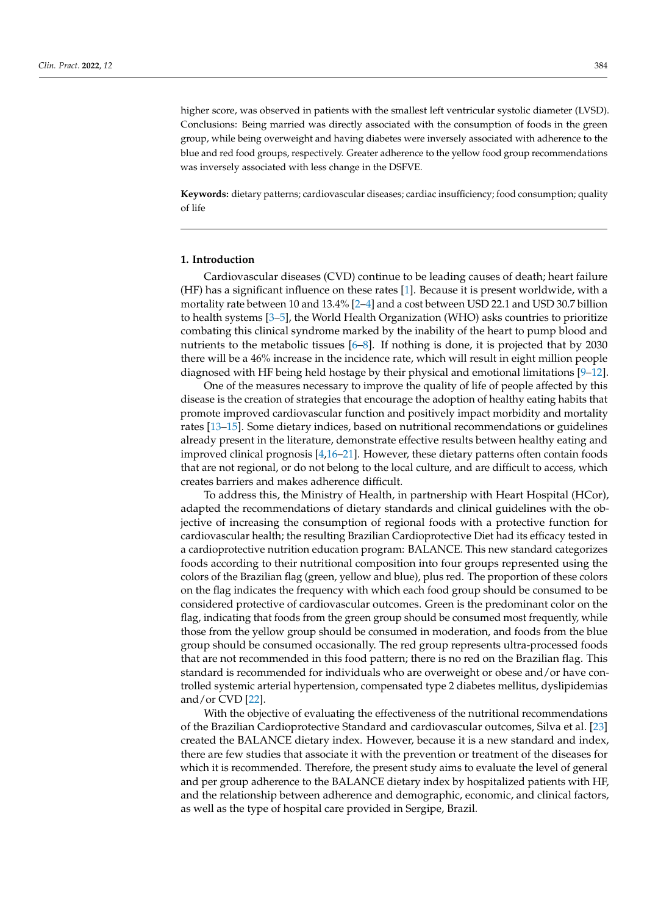higher score, was observed in patients with the smallest left ventricular systolic diameter (LVSD). Conclusions: Being married was directly associated with the consumption of foods in the green group, while being overweight and having diabetes were inversely associated with adherence to the blue and red food groups, respectively. Greater adherence to the yellow food group recommendations was inversely associated with less change in the DSFVE.

**Keywords:** dietary patterns; cardiovascular diseases; cardiac insufficiency; food consumption; quality of life

## **1. Introduction**

Cardiovascular diseases (CVD) continue to be leading causes of death; heart failure (HF) has a significant influence on these rates [\[1\]](#page-10-0). Because it is present worldwide, with a mortality rate between 10 and 13.4% [\[2–](#page-10-1)[4\]](#page-10-2) and a cost between USD 22.1 and USD 30.7 billion to health systems [\[3–](#page-10-3)[5\]](#page-10-4), the World Health Organization (WHO) asks countries to prioritize combating this clinical syndrome marked by the inability of the heart to pump blood and nutrients to the metabolic tissues [\[6](#page-10-5)[–8\]](#page-10-6). If nothing is done, it is projected that by 2030 there will be a 46% increase in the incidence rate, which will result in eight million people diagnosed with HF being held hostage by their physical and emotional limitations [\[9](#page-10-7)[–12\]](#page-10-8).

One of the measures necessary to improve the quality of life of people affected by this disease is the creation of strategies that encourage the adoption of healthy eating habits that promote improved cardiovascular function and positively impact morbidity and mortality rates [\[13–](#page-10-9)[15\]](#page-10-10). Some dietary indices, based on nutritional recommendations or guidelines already present in the literature, demonstrate effective results between healthy eating and improved clinical prognosis  $[4,16-21]$  $[4,16-21]$  $[4,16-21]$ . However, these dietary patterns often contain foods that are not regional, or do not belong to the local culture, and are difficult to access, which creates barriers and makes adherence difficult.

To address this, the Ministry of Health, in partnership with Heart Hospital (HCor), adapted the recommendations of dietary standards and clinical guidelines with the objective of increasing the consumption of regional foods with a protective function for cardiovascular health; the resulting Brazilian Cardioprotective Diet had its efficacy tested in a cardioprotective nutrition education program: BALANCE. This new standard categorizes foods according to their nutritional composition into four groups represented using the colors of the Brazilian flag (green, yellow and blue), plus red. The proportion of these colors on the flag indicates the frequency with which each food group should be consumed to be considered protective of cardiovascular outcomes. Green is the predominant color on the flag, indicating that foods from the green group should be consumed most frequently, while those from the yellow group should be consumed in moderation, and foods from the blue group should be consumed occasionally. The red group represents ultra-processed foods that are not recommended in this food pattern; there is no red on the Brazilian flag. This standard is recommended for individuals who are overweight or obese and/or have controlled systemic arterial hypertension, compensated type 2 diabetes mellitus, dyslipidemias and/or CVD [\[22\]](#page-10-13).

With the objective of evaluating the effectiveness of the nutritional recommendations of the Brazilian Cardioprotective Standard and cardiovascular outcomes, Silva et al. [\[23\]](#page-10-14) created the BALANCE dietary index. However, because it is a new standard and index, there are few studies that associate it with the prevention or treatment of the diseases for which it is recommended. Therefore, the present study aims to evaluate the level of general and per group adherence to the BALANCE dietary index by hospitalized patients with HF, and the relationship between adherence and demographic, economic, and clinical factors, as well as the type of hospital care provided in Sergipe, Brazil.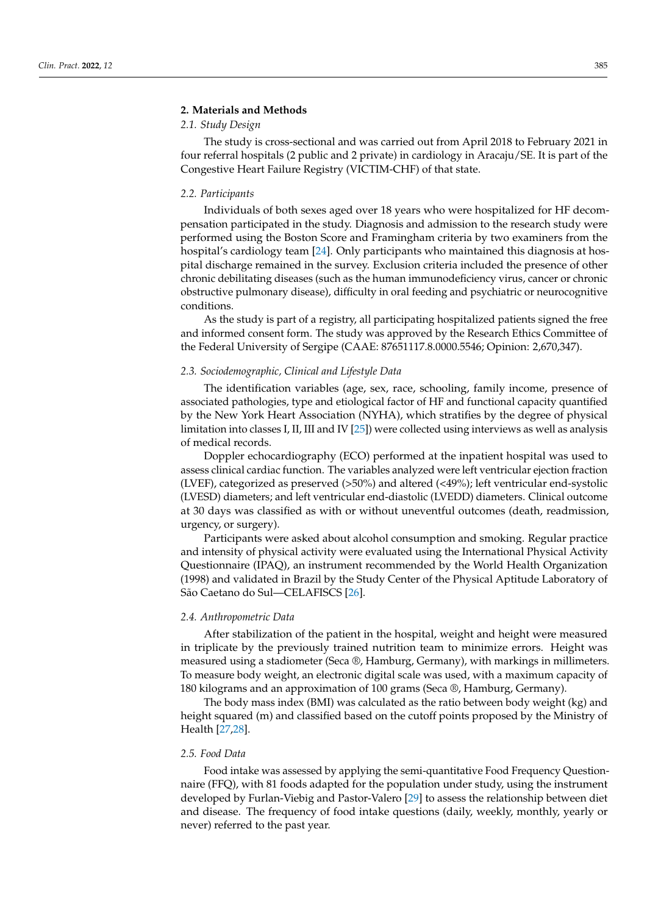# **2. Materials and Methods**

# *2.1. Study Design*

The study is cross-sectional and was carried out from April 2018 to February 2021 in four referral hospitals (2 public and 2 private) in cardiology in Aracaju/SE. It is part of the Congestive Heart Failure Registry (VICTIM-CHF) of that state.

#### *2.2. Participants*

Individuals of both sexes aged over 18 years who were hospitalized for HF decompensation participated in the study. Diagnosis and admission to the research study were performed using the Boston Score and Framingham criteria by two examiners from the hospital's cardiology team [\[24\]](#page-10-15). Only participants who maintained this diagnosis at hospital discharge remained in the survey. Exclusion criteria included the presence of other chronic debilitating diseases (such as the human immunodeficiency virus, cancer or chronic obstructive pulmonary disease), difficulty in oral feeding and psychiatric or neurocognitive conditions.

As the study is part of a registry, all participating hospitalized patients signed the free and informed consent form. The study was approved by the Research Ethics Committee of the Federal University of Sergipe (CAAE: 87651117.8.0000.5546; Opinion: 2,670,347).

#### *2.3. Sociodemographic, Clinical and Lifestyle Data*

The identification variables (age, sex, race, schooling, family income, presence of associated pathologies, type and etiological factor of HF and functional capacity quantified by the New York Heart Association (NYHA), which stratifies by the degree of physical limitation into classes I, II, III and IV [\[25\]](#page-10-16)) were collected using interviews as well as analysis of medical records.

Doppler echocardiography (ECO) performed at the inpatient hospital was used to assess clinical cardiac function. The variables analyzed were left ventricular ejection fraction (LVEF), categorized as preserved (>50%) and altered (<49%); left ventricular end-systolic (LVESD) diameters; and left ventricular end-diastolic (LVEDD) diameters. Clinical outcome at 30 days was classified as with or without uneventful outcomes (death, readmission, urgency, or surgery).

Participants were asked about alcohol consumption and smoking. Regular practice and intensity of physical activity were evaluated using the International Physical Activity Questionnaire (IPAQ), an instrument recommended by the World Health Organization (1998) and validated in Brazil by the Study Center of the Physical Aptitude Laboratory of São Caetano do Sul—CELAFISCS [\[26\]](#page-10-17).

### *2.4. Anthropometric Data*

After stabilization of the patient in the hospital, weight and height were measured in triplicate by the previously trained nutrition team to minimize errors. Height was measured using a stadiometer (Seca ®, Hamburg, Germany), with markings in millimeters. To measure body weight, an electronic digital scale was used, with a maximum capacity of 180 kilograms and an approximation of 100 grams (Seca ®, Hamburg, Germany).

The body mass index (BMI) was calculated as the ratio between body weight (kg) and height squared (m) and classified based on the cutoff points proposed by the Ministry of Health [\[27,](#page-11-0)[28\]](#page-11-1).

## *2.5. Food Data*

Food intake was assessed by applying the semi-quantitative Food Frequency Questionnaire (FFQ), with 81 foods adapted for the population under study, using the instrument developed by Furlan-Viebig and Pastor-Valero [\[29\]](#page-11-2) to assess the relationship between diet and disease. The frequency of food intake questions (daily, weekly, monthly, yearly or never) referred to the past year.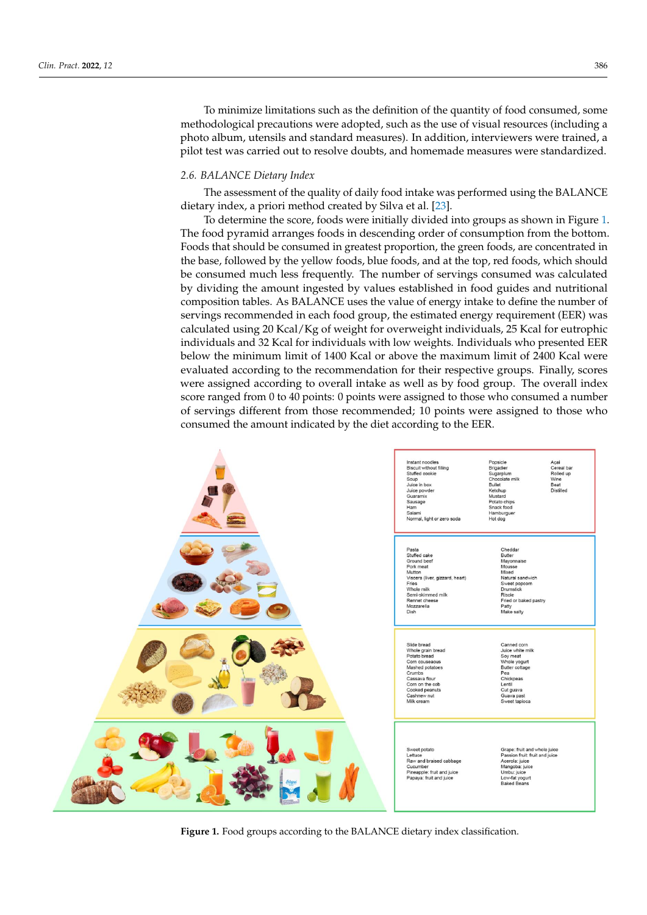To minimize limitations such as the definition of the quantity of food consumed, some methodological precautions were adopted, such as the use of visual resources (including a photo album, utensils and standard measures). In addition, interviewers were trained, a pilot test was carried out to resolve doubts, and homemade measures were standardized.

#### *2.6. BALANCE Dietary Index*

The assessment of the quality of daily food intake was performed using the BALANCE dietary index, a priori method created by Silva et al. [\[23\]](#page-10-14).

To determine the score, foods were initially divided into groups as shown in Figure [1.](#page-3-0) The food pyramid arranges foods in descending order of consumption from the bottom. Foods that should be consumed in greatest proportion, the green foods, are concentrated in the base, followed by the yellow foods, blue foods, and at the top, red foods, which should be consumed much less frequently. The number of servings consumed was calculated by dividing the amount ingested by values established in food guides and nutritional composition tables. As BALANCE uses the value of energy intake to define the number of servings recommended in each food group, the estimated energy requirement (EER) was calculated using 20 Kcal/Kg of weight for overweight individuals, 25 Kcal for eutrophic individuals and 32 Kcal for individuals with low weights. Individuals who presented EER below the minimum limit of 1400 Kcal or above the maximum limit of 2400 Kcal were evaluated according to the recommendation for their respective groups. Finally, scores were assigned according to overall intake as well as by food group. The overall index score ranged from 0 to 40 points: 0 points were assigned to those who consumed a number of servings different from those recommended; 10 points were assigned to those who consumed the amount indicated by the diet according to the EER.

<span id="page-3-0"></span>

**Figure 1.** Food groups according to the BALANCE dietary index classification. **Figure 1.** Food groups according to the BALANCE dietary index classification.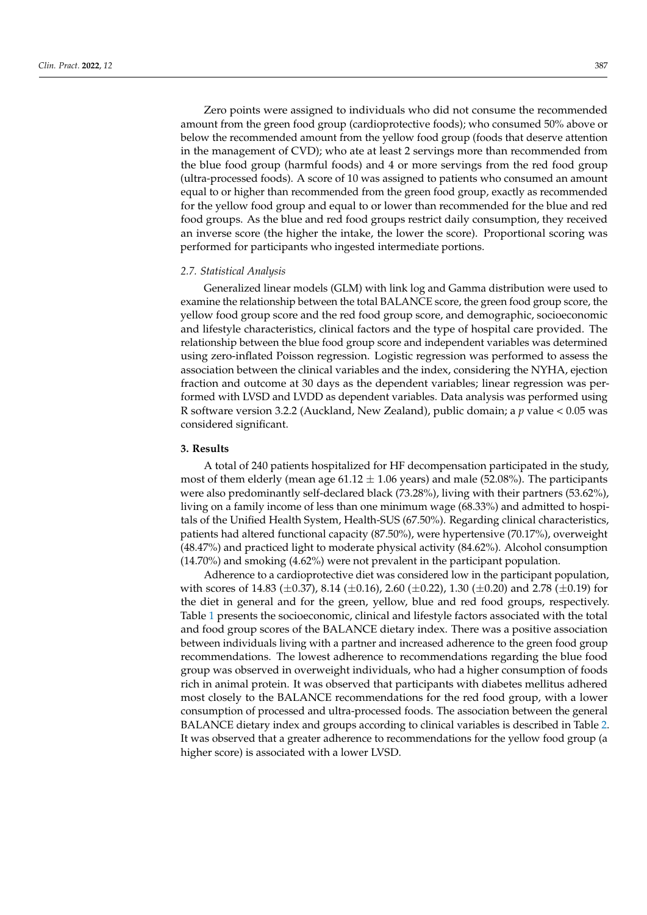Zero points were assigned to individuals who did not consume the recommended amount from the green food group (cardioprotective foods); who consumed 50% above or below the recommended amount from the yellow food group (foods that deserve attention in the management of CVD); who ate at least 2 servings more than recommended from the blue food group (harmful foods) and 4 or more servings from the red food group (ultra-processed foods). A score of 10 was assigned to patients who consumed an amount equal to or higher than recommended from the green food group, exactly as recommended for the yellow food group and equal to or lower than recommended for the blue and red food groups. As the blue and red food groups restrict daily consumption, they received an inverse score (the higher the intake, the lower the score). Proportional scoring was performed for participants who ingested intermediate portions.

#### *2.7. Statistical Analysis*

Generalized linear models (GLM) with link log and Gamma distribution were used to examine the relationship between the total BALANCE score, the green food group score, the yellow food group score and the red food group score, and demographic, socioeconomic and lifestyle characteristics, clinical factors and the type of hospital care provided. The relationship between the blue food group score and independent variables was determined using zero-inflated Poisson regression. Logistic regression was performed to assess the association between the clinical variables and the index, considering the NYHA, ejection fraction and outcome at 30 days as the dependent variables; linear regression was performed with LVSD and LVDD as dependent variables. Data analysis was performed using R software version 3.2.2 (Auckland, New Zealand), public domain; a *p* value < 0.05 was considered significant.

## **3. Results**

A total of 240 patients hospitalized for HF decompensation participated in the study, most of them elderly (mean age  $61.12 \pm 1.06$  years) and male (52.08%). The participants were also predominantly self-declared black (73.28%), living with their partners (53.62%), living on a family income of less than one minimum wage (68.33%) and admitted to hospitals of the Unified Health System, Health-SUS (67.50%). Regarding clinical characteristics, patients had altered functional capacity (87.50%), were hypertensive (70.17%), overweight (48.47%) and practiced light to moderate physical activity (84.62%). Alcohol consumption (14.70%) and smoking (4.62%) were not prevalent in the participant population.

Adherence to a cardioprotective diet was considered low in the participant population, with scores of 14.83 ( $\pm$ 0.37), 8.14 ( $\pm$ 0.16), 2.60 ( $\pm$ 0.22), 1.30 ( $\pm$ 0.20) and 2.78 ( $\pm$ 0.19) for the diet in general and for the green, yellow, blue and red food groups, respectively. Table [1](#page-6-0) presents the socioeconomic, clinical and lifestyle factors associated with the total and food group scores of the BALANCE dietary index. There was a positive association between individuals living with a partner and increased adherence to the green food group recommendations. The lowest adherence to recommendations regarding the blue food group was observed in overweight individuals, who had a higher consumption of foods rich in animal protein. It was observed that participants with diabetes mellitus adhered most closely to the BALANCE recommendations for the red food group, with a lower consumption of processed and ultra-processed foods. The association between the general BALANCE dietary index and groups according to clinical variables is described in Table [2.](#page-6-1) It was observed that a greater adherence to recommendations for the yellow food group (a higher score) is associated with a lower LVSD.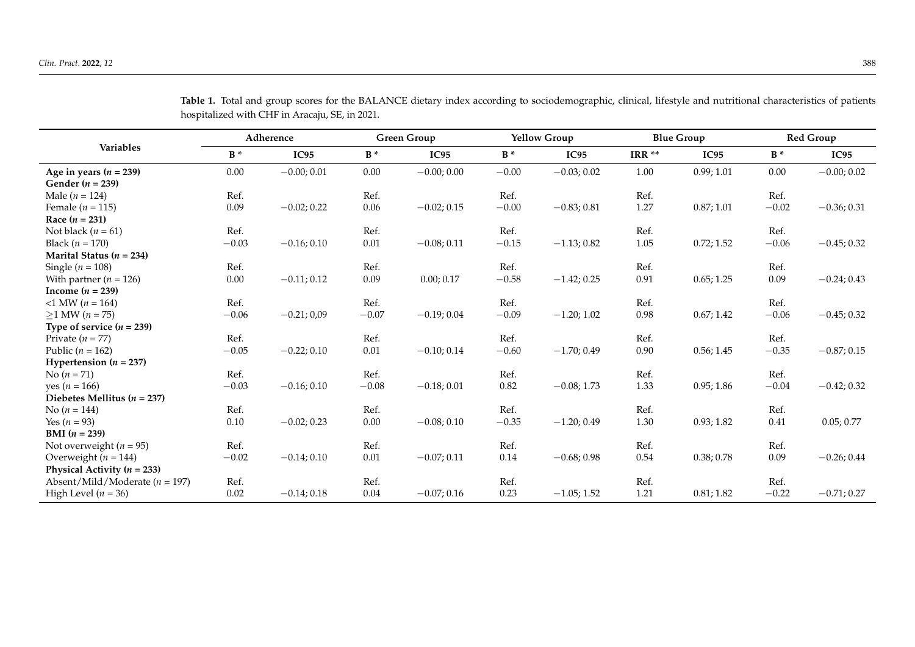|                                    | Adherence |               | <b>Green Group</b> |               | <b>Yellow Group</b> |               | <b>Blue Group</b> |            | <b>Red Group</b> |               |
|------------------------------------|-----------|---------------|--------------------|---------------|---------------------|---------------|-------------------|------------|------------------|---------------|
| Variables                          | $B^*$     | IC95          | $B^*$              | <b>IC95</b>   | $B^*$               | IC95          | IRR <sup>**</sup> | IC95       | $B^*$            | IC95          |
| Age in years $(n = 239)$           | 0.00      | $-0.00; 0.01$ | 0.00               | $-0.00;0.00$  | $-0.00$             | $-0.03;0.02$  | 1.00              | 0.99; 1.01 | 0.00             | $-0.00; 0.02$ |
| Gender ( $n = 239$ )               |           |               |                    |               |                     |               |                   |            |                  |               |
| Male ( $n = 124$ )                 | Ref.      |               | Ref.               |               | Ref.                |               | Ref.              |            | Ref.             |               |
| Female ( $n = 115$ )               | 0.09      | $-0.02; 0.22$ | $0.06\,$           | $-0.02; 0.15$ | $-0.00$             | $-0.83; 0.81$ | 1.27              | 0.87; 1.01 | $-0.02$          | $-0.36; 0.31$ |
| Race $(n = 231)$                   |           |               |                    |               |                     |               |                   |            |                  |               |
| Not black ( $n = 61$ )             | Ref.      |               | Ref.               |               | Ref.                |               | Ref.              |            | Ref.             |               |
| Black ( $n = 170$ )                | $-0.03$   | $-0.16; 0.10$ | $0.01\,$           | $-0.08; 0.11$ | $-0.15$             | $-1.13;0.82$  | $1.05\,$          | 0.72; 1.52 | $-0.06$          | $-0.45; 0.32$ |
| Marital Status ( $n = 234$ )       |           |               |                    |               |                     |               |                   |            |                  |               |
| Single ( $n = 108$ )               | Ref.      |               | Ref.               |               | Ref.                |               | Ref.              |            | Ref.             |               |
| With partner ( $n = 126$ )         | $0.00\,$  | $-0.11; 0.12$ | 0.09               | 0.00; 0.17    | $-0.58$             | $-1.42; 0.25$ | 0.91              | 0.65; 1.25 | 0.09             | $-0.24; 0.43$ |
| Income $(n = 239)$                 |           |               |                    |               |                     |               |                   |            |                  |               |
| $-1$ MW ( $n = 164$ )              | Ref.      |               | Ref.               |               | Ref.                |               | Ref.              |            | Ref.             |               |
| $≥1$ MW ( <i>n</i> = 75)           | $-0.06$   | $-0.21;0.09$  | $-0.07$            | $-0.19;0.04$  | $-0.09$             | $-1.20; 1.02$ | 0.98              | 0.67; 1.42 | $-0.06$          | $-0.45; 0.32$ |
| Type of service $(n = 239)$        |           |               |                    |               |                     |               |                   |            |                  |               |
| Private $(n = 77)$                 | Ref.      |               | Ref.               |               | Ref.                |               | Ref.              |            | Ref.             |               |
| Public ( $n = 162$ )               | $-0.05$   | $-0.22; 0.10$ | $0.01\,$           | $-0.10; 0.14$ | $-0.60$             | $-1.70;0.49$  | 0.90              | 0.56; 1.45 | $-0.35$          | $-0.87;0.15$  |
| Hypertension $(n = 237)$           |           |               |                    |               |                     |               |                   |            |                  |               |
| No $(n = 71)$                      | Ref.      |               | Ref.               |               | Ref.                |               | Ref.              |            | Ref.             |               |
| yes ( $n = 166$ )                  | $-0.03$   | $-0.16; 0.10$ | $-0.08$            | $-0.18;0.01$  | 0.82                | $-0.08; 1.73$ | 1.33              | 0.95; 1.86 | $-0.04$          | $-0.42; 0.32$ |
| Diebetes Mellitus ( $n = 237$ )    |           |               |                    |               |                     |               |                   |            |                  |               |
| No $(n = 144)$                     | Ref.      |               | Ref.               |               | Ref.                |               | Ref.              |            | Ref.             |               |
| Yes ( $n = 93$ )                   | 0.10      | $-0.02; 0.23$ | $0.00\,$           | $-0.08; 0.10$ | $-0.35$             | $-1.20; 0.49$ | 1.30              | 0.93; 1.82 | 0.41             | 0.05; 0.77    |
| <b>BMI</b> $(n = 239)$             |           |               |                    |               |                     |               |                   |            |                  |               |
| Not overweight ( $n = 95$ )        | Ref.      |               | Ref.               |               | Ref.                |               | Ref.              |            | Ref.             |               |
| Overweight ( $n = 144$ )           | $-0.02$   | $-0.14; 0.10$ | 0.01               | $-0.07; 0.11$ | 0.14                | $-0.68;0.98$  | $0.54\,$          | 0.38; 0.78 | 0.09             | $-0.26; 0.44$ |
| Physical Activity ( $n = 233$ )    |           |               |                    |               |                     |               |                   |            |                  |               |
| Absent/Mild/Moderate ( $n = 197$ ) | Ref.      |               | Ref.               |               | Ref.                |               | Ref.              |            | Ref.             |               |
| High Level ( $n = 36$ )            | $0.02\,$  | $-0.14; 0.18$ | $0.04\,$           | $-0.07; 0.16$ | 0.23                | $-1.05; 1.52$ | 1.21              | 0.81; 1.82 | $-0.22$          | $-0.71;0.27$  |

Table 1. Total and group scores for the BALANCE dietary index according to sociodemographic, clinical, lifestyle and nutritional characteristics of patients hospitalized with CHF in Aracaju, SE, in 2021.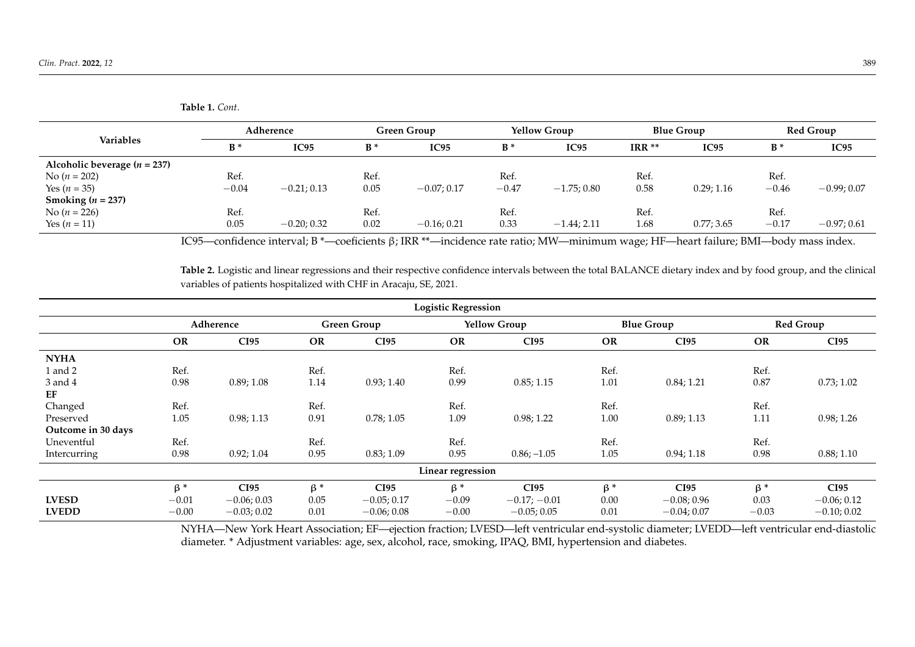| <b>Table 1.</b> Cont. |
|-----------------------|
|                       |

| Variables                      | Adherence |               | <b>Green Group</b> |               | <b>Yellow Group</b> |               | <b>Blue Group</b> |             | Red Group |               |
|--------------------------------|-----------|---------------|--------------------|---------------|---------------------|---------------|-------------------|-------------|-----------|---------------|
|                                | $B^*$     | IC95          | $B^*$              | IC95          | $B^*$               | IC95          | $IRR**$           | <b>IC95</b> | $B^*$     | IC95          |
| Alcoholic beverage $(n = 237)$ |           |               |                    |               |                     |               |                   |             |           |               |
| No $(n = 202)$                 | Ref.      |               | Ref.               |               | Ref.                |               | Ref.              |             | Ref.      |               |
| Yes $(n = 35)$                 | $-0.04$   | $-0.21; 0.13$ | 0.05               | $-0.07; 0.17$ | $-0.47$             | $-1.75;0.80$  | 0.58              | 0.29; 1.16  | $-0.46$   | $-0.99; 0.07$ |
| Smoking ( $n = 237$ )          |           |               |                    |               |                     |               |                   |             |           |               |
| No $(n = 226)$                 | Ref.      |               | Ref.               |               | Ref.                |               | Ref.              |             | Ref.      |               |
| Yes $(n = 11)$                 | 0.05      | $-0.20; 0.32$ | 0.02               | $-0.16; 0.21$ | 0.33                | $-1.44; 2.11$ | 1.68              | 0.77; 3.65  | $-0.17$   | $-0.97;0.61$  |

IC95—confidence interval; B \*—coeficients β; IRR \*\*—incidence rate ratio; MW—minimum wage; HF—heart failure; BMI—body mass index.

**Table 2.** Logistic and linear regressions and their respective confidence intervals between the total BALANCE dietary index and by food group, and the clinical variables of patients hospitalized with CHF in Aracaju, SE, 2021.

<span id="page-6-0"></span>

| <b>Logistic Regression</b> |           |               |                    |               |                     |                |                   |               |                  |               |
|----------------------------|-----------|---------------|--------------------|---------------|---------------------|----------------|-------------------|---------------|------------------|---------------|
|                            | Adherence |               | <b>Green Group</b> |               | <b>Yellow Group</b> |                | <b>Blue Group</b> |               | <b>Red Group</b> |               |
|                            | <b>OR</b> | <b>CI95</b>   | OR                 | <b>CI95</b>   | <b>OR</b>           | CI95           | <b>OR</b>         | <b>CI95</b>   | <b>OR</b>        | <b>CI95</b>   |
| <b>NYHA</b>                |           |               |                    |               |                     |                |                   |               |                  |               |
| 1 and 2                    | Ref.      |               | Ref.               |               | Ref.                |                | Ref.              |               | Ref.             |               |
| 3 and 4                    | 0.98      | 0.89; 1.08    | 1.14               | 0.93; 1.40    | 0.99                | 0.85; 1.15     | 1.01              | 0.84; 1.21    | 0.87             | 0.73; 1.02    |
| EF                         |           |               |                    |               |                     |                |                   |               |                  |               |
| Changed                    | Ref.      |               | Ref.               |               | Ref.                |                | Ref.              |               | Ref.             |               |
| Preserved                  | 1.05      | 0.98; 1.13    | 0.91               | 0.78; 1.05    | 1.09                | 0.98; 1.22     | 1.00              | 0.89; 1.13    | 1.11             | 0.98; 1.26    |
| Outcome in 30 days         |           |               |                    |               |                     |                |                   |               |                  |               |
| Uneventful                 | Ref.      |               | Ref.               |               | Ref.                |                | Ref.              |               | Ref.             |               |
| Intercurring               | 0.98      | 0.92; 1.04    | 0.95               | 0.83; 1.09    | 0.95                | $0.86; -1.05$  | 1.05              | 0.94; 1.18    | 0.98             | 0.88; 1.10    |
| Linear regression          |           |               |                    |               |                     |                |                   |               |                  |               |
|                            | $\beta^*$ | <b>CI95</b>   | $\beta^*$          | <b>CI95</b>   | $\beta^*$           | <b>CI95</b>    | $\beta^*$         | <b>CI95</b>   | $\beta^*$        | <b>CI95</b>   |
| <b>LVESD</b>               | $-0.01$   | $-0.06; 0.03$ | 0.05               | $-0.05; 0.17$ | $-0.09$             | $-0.17; -0.01$ | 0.00              | $-0.08;0.96$  | 0.03             | $-0.06; 0.12$ |
| <b>LVEDD</b>               | $-0.00$   | $-0.03;0.02$  | 0.01               | $-0.06;0.08$  | $-0.00$             | $-0.05; 0.05$  | 0.01              | $-0.04; 0.07$ | $-0.03$          | $-0.10; 0.02$ |

<span id="page-6-1"></span>NYHA—New York Heart Association; EF—ejection fraction; LVESD—left ventricular end-systolic diameter; LVEDD—left ventricular end-diastolic diameter. \* Adjustment variables: age, sex, alcohol, race, smoking, IPAQ, BMI, hypertension and diabetes.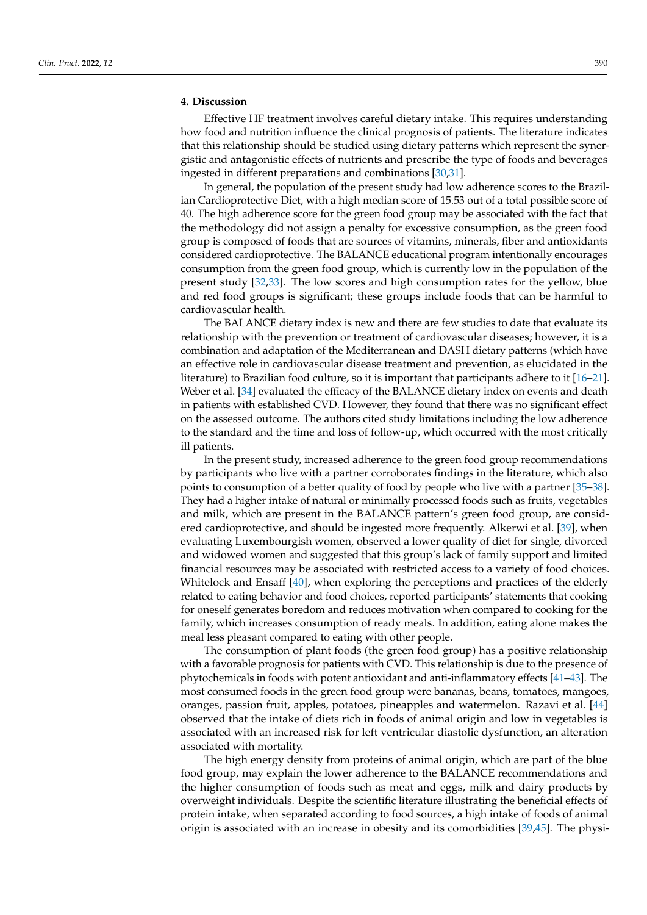# **4. Discussion**

Effective HF treatment involves careful dietary intake. This requires understanding how food and nutrition influence the clinical prognosis of patients. The literature indicates that this relationship should be studied using dietary patterns which represent the synergistic and antagonistic effects of nutrients and prescribe the type of foods and beverages ingested in different preparations and combinations [\[30](#page-11-3)[,31\]](#page-11-4).

In general, the population of the present study had low adherence scores to the Brazilian Cardioprotective Diet, with a high median score of 15.53 out of a total possible score of 40. The high adherence score for the green food group may be associated with the fact that the methodology did not assign a penalty for excessive consumption, as the green food group is composed of foods that are sources of vitamins, minerals, fiber and antioxidants considered cardioprotective. The BALANCE educational program intentionally encourages consumption from the green food group, which is currently low in the population of the present study [\[32,](#page-11-5)[33\]](#page-11-6). The low scores and high consumption rates for the yellow, blue and red food groups is significant; these groups include foods that can be harmful to cardiovascular health.

The BALANCE dietary index is new and there are few studies to date that evaluate its relationship with the prevention or treatment of cardiovascular diseases; however, it is a combination and adaptation of the Mediterranean and DASH dietary patterns (which have an effective role in cardiovascular disease treatment and prevention, as elucidated in the literature) to Brazilian food culture, so it is important that participants adhere to it [\[16](#page-10-11)[–21\]](#page-10-12). Weber et al. [\[34\]](#page-11-7) evaluated the efficacy of the BALANCE dietary index on events and death in patients with established CVD. However, they found that there was no significant effect on the assessed outcome. The authors cited study limitations including the low adherence to the standard and the time and loss of follow-up, which occurred with the most critically ill patients.

In the present study, increased adherence to the green food group recommendations by participants who live with a partner corroborates findings in the literature, which also points to consumption of a better quality of food by people who live with a partner [\[35](#page-11-8)[–38\]](#page-11-9). They had a higher intake of natural or minimally processed foods such as fruits, vegetables and milk, which are present in the BALANCE pattern's green food group, are considered cardioprotective, and should be ingested more frequently. Alkerwi et al. [\[39\]](#page-11-10), when evaluating Luxembourgish women, observed a lower quality of diet for single, divorced and widowed women and suggested that this group's lack of family support and limited financial resources may be associated with restricted access to a variety of food choices. Whitelock and Ensaff [\[40\]](#page-11-11), when exploring the perceptions and practices of the elderly related to eating behavior and food choices, reported participants' statements that cooking for oneself generates boredom and reduces motivation when compared to cooking for the family, which increases consumption of ready meals. In addition, eating alone makes the meal less pleasant compared to eating with other people.

The consumption of plant foods (the green food group) has a positive relationship with a favorable prognosis for patients with CVD. This relationship is due to the presence of phytochemicals in foods with potent antioxidant and anti-inflammatory effects [\[41](#page-11-12)[–43\]](#page-11-13). The most consumed foods in the green food group were bananas, beans, tomatoes, mangoes, oranges, passion fruit, apples, potatoes, pineapples and watermelon. Razavi et al. [\[44\]](#page-11-14) observed that the intake of diets rich in foods of animal origin and low in vegetables is associated with an increased risk for left ventricular diastolic dysfunction, an alteration associated with mortality.

The high energy density from proteins of animal origin, which are part of the blue food group, may explain the lower adherence to the BALANCE recommendations and the higher consumption of foods such as meat and eggs, milk and dairy products by overweight individuals. Despite the scientific literature illustrating the beneficial effects of protein intake, when separated according to food sources, a high intake of foods of animal origin is associated with an increase in obesity and its comorbidities [\[39,](#page-11-10)[45\]](#page-11-15). The physi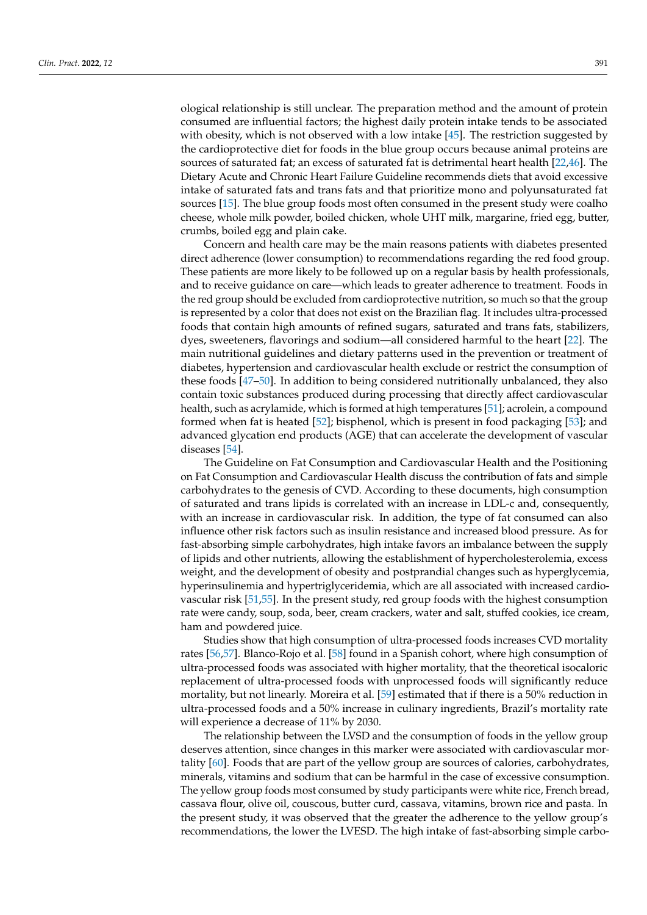ological relationship is still unclear. The preparation method and the amount of protein consumed are influential factors; the highest daily protein intake tends to be associated with obesity, which is not observed with a low intake [\[45\]](#page-11-15). The restriction suggested by the cardioprotective diet for foods in the blue group occurs because animal proteins are sources of saturated fat; an excess of saturated fat is detrimental heart health [\[22,](#page-10-13)[46\]](#page-11-16). The Dietary Acute and Chronic Heart Failure Guideline recommends diets that avoid excessive intake of saturated fats and trans fats and that prioritize mono and polyunsaturated fat sources [\[15\]](#page-10-10). The blue group foods most often consumed in the present study were coalho cheese, whole milk powder, boiled chicken, whole UHT milk, margarine, fried egg, butter, crumbs, boiled egg and plain cake.

Concern and health care may be the main reasons patients with diabetes presented direct adherence (lower consumption) to recommendations regarding the red food group. These patients are more likely to be followed up on a regular basis by health professionals, and to receive guidance on care—which leads to greater adherence to treatment. Foods in the red group should be excluded from cardioprotective nutrition, so much so that the group is represented by a color that does not exist on the Brazilian flag. It includes ultra-processed foods that contain high amounts of refined sugars, saturated and trans fats, stabilizers, dyes, sweeteners, flavorings and sodium—all considered harmful to the heart [\[22\]](#page-10-13). The main nutritional guidelines and dietary patterns used in the prevention or treatment of diabetes, hypertension and cardiovascular health exclude or restrict the consumption of these foods [\[47](#page-11-17)[–50\]](#page-11-18). In addition to being considered nutritionally unbalanced, they also contain toxic substances produced during processing that directly affect cardiovascular health, such as acrylamide, which is formed at high temperatures [\[51\]](#page-11-19); acrolein, a compound formed when fat is heated [\[52\]](#page-12-0); bisphenol, which is present in food packaging [\[53\]](#page-12-1); and advanced glycation end products (AGE) that can accelerate the development of vascular diseases [\[54\]](#page-12-2).

The Guideline on Fat Consumption and Cardiovascular Health and the Positioning on Fat Consumption and Cardiovascular Health discuss the contribution of fats and simple carbohydrates to the genesis of CVD. According to these documents, high consumption of saturated and trans lipids is correlated with an increase in LDL-c and, consequently, with an increase in cardiovascular risk. In addition, the type of fat consumed can also influence other risk factors such as insulin resistance and increased blood pressure. As for fast-absorbing simple carbohydrates, high intake favors an imbalance between the supply of lipids and other nutrients, allowing the establishment of hypercholesterolemia, excess weight, and the development of obesity and postprandial changes such as hyperglycemia, hyperinsulinemia and hypertriglyceridemia, which are all associated with increased cardiovascular risk [\[51](#page-11-19)[,55\]](#page-12-3). In the present study, red group foods with the highest consumption rate were candy, soup, soda, beer, cream crackers, water and salt, stuffed cookies, ice cream, ham and powdered juice.

Studies show that high consumption of ultra-processed foods increases CVD mortality rates [\[56,](#page-12-4)[57\]](#page-12-5). Blanco-Rojo et al. [\[58\]](#page-12-6) found in a Spanish cohort, where high consumption of ultra-processed foods was associated with higher mortality, that the theoretical isocaloric replacement of ultra-processed foods with unprocessed foods will significantly reduce mortality, but not linearly. Moreira et al. [\[59\]](#page-12-7) estimated that if there is a 50% reduction in ultra-processed foods and a 50% increase in culinary ingredients, Brazil's mortality rate will experience a decrease of 11% by 2030.

The relationship between the LVSD and the consumption of foods in the yellow group deserves attention, since changes in this marker were associated with cardiovascular mortality [\[60\]](#page-12-8). Foods that are part of the yellow group are sources of calories, carbohydrates, minerals, vitamins and sodium that can be harmful in the case of excessive consumption. The yellow group foods most consumed by study participants were white rice, French bread, cassava flour, olive oil, couscous, butter curd, cassava, vitamins, brown rice and pasta. In the present study, it was observed that the greater the adherence to the yellow group's recommendations, the lower the LVESD. The high intake of fast-absorbing simple carbo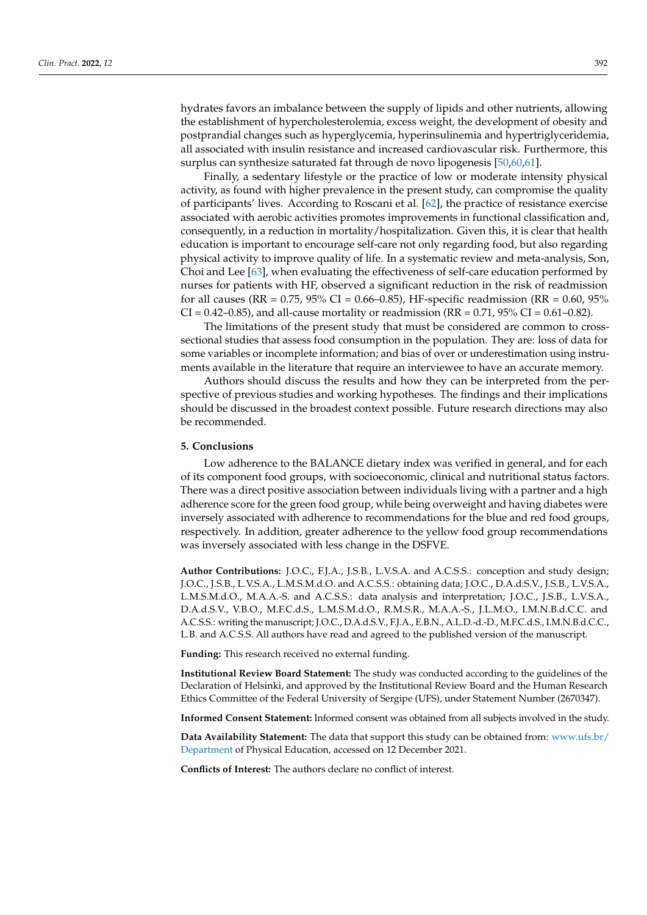hydrates favors an imbalance between the supply of lipids and other nutrients, allowing the establishment of hypercholesterolemia, excess weight, the development of obesity and postprandial changes such as hyperglycemia, hyperinsulinemia and hypertriglyceridemia, all associated with insulin resistance and increased cardiovascular risk. Furthermore, this surplus can synthesize saturated fat through de novo lipogenesis [\[50,](#page-11-18)[60,](#page-12-8)[61\]](#page-12-9).

Finally, a sedentary lifestyle or the practice of low or moderate intensity physical activity, as found with higher prevalence in the present study, can compromise the quality of participants' lives. According to Roscani et al. [\[62\]](#page-12-10), the practice of resistance exercise associated with aerobic activities promotes improvements in functional classification and, consequently, in a reduction in mortality/hospitalization. Given this, it is clear that health education is important to encourage self-care not only regarding food, but also regarding physical activity to improve quality of life. In a systematic review and meta-analysis, Son, Choi and Lee [\[63\]](#page-12-11), when evaluating the effectiveness of self-care education performed by nurses for patients with HF, observed a significant reduction in the risk of readmission for all causes (RR =  $0.75$ ,  $95\%$  CI =  $0.66-0.85$ ), HF-specific readmission (RR =  $0.60$ ,  $95\%$  $CI = 0.42 - 0.85$ ), and all-cause mortality or readmission (RR = 0.71, 95% CI = 0.61–0.82).

The limitations of the present study that must be considered are common to crosssectional studies that assess food consumption in the population. They are: loss of data for some variables or incomplete information; and bias of over or underestimation using instruments available in the literature that require an interviewee to have an accurate memory.

Authors should discuss the results and how they can be interpreted from the perspective of previous studies and working hypotheses. The findings and their implications should be discussed in the broadest context possible. Future research directions may also be recommended.

# **5. Conclusions**

Low adherence to the BALANCE dietary index was verified in general, and for each of its component food groups, with socioeconomic, clinical and nutritional status factors. There was a direct positive association between individuals living with a partner and a high adherence score for the green food group, while being overweight and having diabetes were inversely associated with adherence to recommendations for the blue and red food groups, respectively. In addition, greater adherence to the yellow food group recommendations was inversely associated with less change in the DSFVE.

**Author Contributions:** J.O.C., F.J.A., J.S.B., L.V.S.A. and A.C.S.S.: conception and study design; J.O.C., J.S.B., L.V.S.A., L.M.S.M.d.O. and A.C.S.S.: obtaining data; J.O.C., D.A.d.S.V., J.S.B., L.V.S.A., L.M.S.M.d.O., M.A.A.-S. and A.C.S.S.: data analysis and interpretation; J.O.C., J.S.B., L.V.S.A., D.A.d.S.V., V.B.O., M.F.C.d.S., L.M.S.M.d.O., R.M.S.R., M.A.A.-S., J.L.M.O., I.M.N.B.d.C.C. and A.C.S.S.: writing the manuscript; J.O.C., D.A.d.S.V., F.J.A., E.B.N., A.L.D.-d.-D., M.F.C.d.S., I.M.N.B.d.C.C., L.B. and A.C.S.S. All authors have read and agreed to the published version of the manuscript.

**Funding:** This research received no external funding.

**Institutional Review Board Statement:** The study was conducted according to the guidelines of the Declaration of Helsinki, and approved by the Institutional Review Board and the Human Research Ethics Committee of the Federal University of Sergipe (UFS), under Statement Number (2670347).

**Informed Consent Statement:** Informed consent was obtained from all subjects involved in the study.

**Data Availability Statement:** The data that support this study can be obtained from: [www.ufs.br/](www.ufs.br/Department) [Department](www.ufs.br/Department) of Physical Education, accessed on 12 December 2021.

**Conflicts of Interest:** The authors declare no conflict of interest.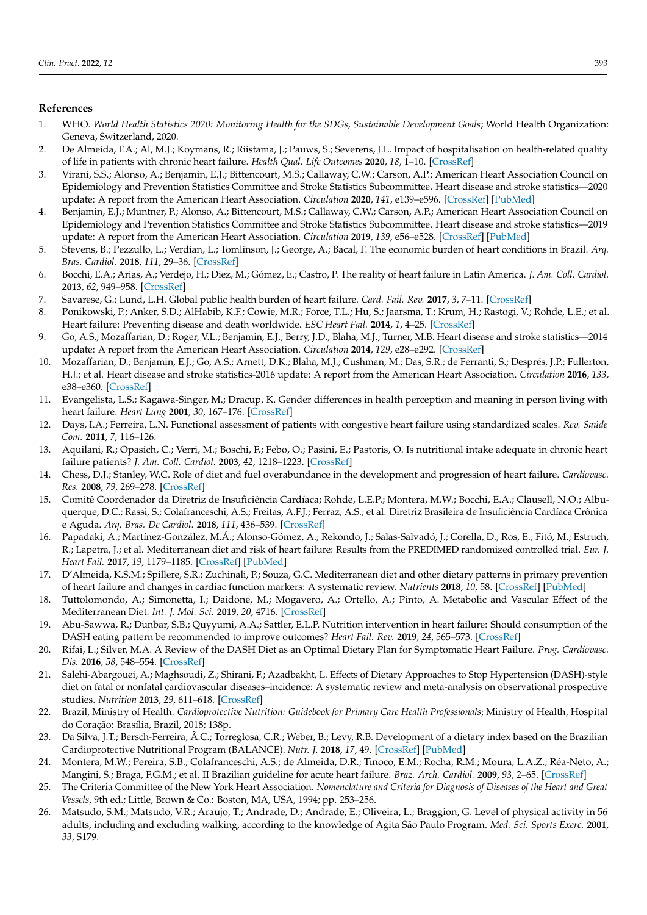# **References**

- <span id="page-10-0"></span>1. WHO. World Health Statistics 2020: Monitoring Health for the SDGs, Sustainable Development Goals; World Health Organization: Geneva, Switzerland, 2020.
- <span id="page-10-1"></span>2. De Almeida, F.A.; Al, M.J.; Koymans, R.; Riistama, J.; Pauws, S.; Severens, J.L. Impact of hospitalisation on health-related quality of life in patients with chronic heart failure. *Health Qual. Life Outcomes* **2020**, *18*, 1–10. [\[CrossRef\]](http://doi.org/10.1186/s12955-020-01508-8)
- <span id="page-10-3"></span>3. Virani, S.S.; Alonso, A.; Benjamin, E.J.; Bittencourt, M.S.; Callaway, C.W.; Carson, A.P.; American Heart Association Council on Epidemiology and Prevention Statistics Committee and Stroke Statistics Subcommittee. Heart disease and stroke statistics—2020 update: A report from the American Heart Association. *Circulation* **2020**, *141*, e139–e596. [\[CrossRef\]](http://doi.org/10.1161/CIR.0000000000000757) [\[PubMed\]](http://www.ncbi.nlm.nih.gov/pubmed/31992061)
- <span id="page-10-2"></span>4. Benjamin, E.J.; Muntner, P.; Alonso, A.; Bittencourt, M.S.; Callaway, C.W.; Carson, A.P.; American Heart Association Council on Epidemiology and Prevention Statistics Committee and Stroke Statistics Subcommittee. Heart disease and stroke statistics—2019 update: A report from the American Heart Association. *Circulation* **2019**, *139*, e56–e528. [\[CrossRef\]](http://doi.org/10.1161/CIR.0000000000000659) [\[PubMed\]](http://www.ncbi.nlm.nih.gov/pubmed/30700139)
- <span id="page-10-4"></span>5. Stevens, B.; Pezzullo, L.; Verdian, L.; Tomlinson, J.; George, A.; Bacal, F. The economic burden of heart conditions in Brazil. *Arq. Bras. Cardiol.* **2018**, *111*, 29–36. [\[CrossRef\]](http://doi.org/10.5935/abc.20180104)
- <span id="page-10-5"></span>6. Bocchi, E.A.; Arias, A.; Verdejo, H.; Diez, M.; Gómez, E.; Castro, P. The reality of heart failure in Latin America. *J. Am. Coll. Cardiol.* **2013**, *62*, 949–958. [\[CrossRef\]](http://doi.org/10.1016/j.jacc.2013.06.013)
- 7. Savarese, G.; Lund, L.H. Global public health burden of heart failure. *Card. Fail. Rev.* **2017**, *3*, 7–11. [\[CrossRef\]](http://doi.org/10.15420/cfr.2016:25:2)
- <span id="page-10-6"></span>8. Ponikowski, P.; Anker, S.D.; AlHabib, K.F.; Cowie, M.R.; Force, T.L.; Hu, S.; Jaarsma, T.; Krum, H.; Rastogi, V.; Rohde, L.E.; et al. Heart failure: Preventing disease and death worldwide. *ESC Heart Fail.* **2014**, *1*, 4–25. [\[CrossRef\]](http://doi.org/10.1002/ehf2.12005)
- <span id="page-10-7"></span>9. Go, A.S.; Mozaffarian, D.; Roger, V.L.; Benjamin, E.J.; Berry, J.D.; Blaha, M.J.; Turner, M.B. Heart disease and stroke statistics—2014 update: A report from the American Heart Association. *Circulation* **2014**, *129*, e28–e292. [\[CrossRef\]](http://doi.org/10.1161/01.cir.0000441139.02102.80)
- 10. Mozaffarian, D.; Benjamin, E.J.; Go, A.S.; Arnett, D.K.; Blaha, M.J.; Cushman, M.; Das, S.R.; de Ferranti, S.; Després, J.P.; Fullerton, H.J.; et al. Heart disease and stroke statistics-2016 update: A report from the American Heart Association. *Circulation* **2016**, *133*, e38–e360. [\[CrossRef\]](http://doi.org/10.1161/CIR.0000000000000350)
- 11. Evangelista, L.S.; Kagawa-Singer, M.; Dracup, K. Gender differences in health perception and meaning in person living with heart failure. *Heart Lung* **2001**, *30*, 167–176. [\[CrossRef\]](http://doi.org/10.1067/mhl.2001.114893)
- <span id="page-10-8"></span>12. Days, I.A.; Ferreira, L.N. Functional assessment of patients with congestive heart failure using standardized scales. *Rev. Saúde Com.* **2011**, *7*, 116–126.
- <span id="page-10-9"></span>13. Aquilani, R.; Opasich, C.; Verri, M.; Boschi, F.; Febo, O.; Pasini, E.; Pastoris, O. Is nutritional intake adequate in chronic heart failure patients? *J. Am. Coll. Cardiol.* **2003**, *42*, 1218–1223. [\[CrossRef\]](http://doi.org/10.1016/S0735-1097(03)00946-X)
- 14. Chess, D.J.; Stanley, W.C. Role of diet and fuel overabundance in the development and progression of heart failure. *Cardiovasc. Res.* **2008**, *79*, 269–278. [\[CrossRef\]](http://doi.org/10.1093/cvr/cvn074)
- <span id="page-10-10"></span>15. Comitê Coordenador da Diretriz de Insuficiência Cardíaca; Rohde, L.E.P.; Montera, M.W.; Bocchi, E.A.; Clausell, N.O.; Albuquerque, D.C.; Rassi, S.; Colafranceschi, A.S.; Freitas, A.F.J.; Ferraz, A.S.; et al. Diretriz Brasileira de Insuficiência Cardíaca Crônica e Aguda. *Arq. Bras. De Cardiol.* **2018**, *111*, 436–539. [\[CrossRef\]](http://doi.org/10.5935/abc.20180190)
- <span id="page-10-11"></span>16. Papadaki, A.; Martínez-González, M.Á.; Alonso-Gómez, A.; Rekondo, J.; Salas-Salvadó, J.; Corella, D.; Ros, E.; Fitó, M.; Estruch, R.; Lapetra, J.; et al. Mediterranean diet and risk of heart failure: Results from the PREDIMED randomized controlled trial. *Eur. J. Heart Fail.* **2017**, *19*, 1179–1185. [\[CrossRef\]](http://doi.org/10.1002/ejhf.750) [\[PubMed\]](http://www.ncbi.nlm.nih.gov/pubmed/28133855)
- 17. D'Almeida, K.S.M.; Spillere, S.R.; Zuchinali, P.; Souza, G.C. Mediterranean diet and other dietary patterns in primary prevention of heart failure and changes in cardiac function markers: A systematic review. *Nutrients* **2018**, *10*, 58. [\[CrossRef\]](http://doi.org/10.3390/nu10010058) [\[PubMed\]](http://www.ncbi.nlm.nih.gov/pubmed/29320401)
- 18. Tuttolomondo, A.; Simonetta, I.; Daidone, M.; Mogavero, A.; Ortello, A.; Pinto, A. Metabolic and Vascular Effect of the Mediterranean Diet. *Int. J. Mol. Sci.* **2019**, *20*, 4716. [\[CrossRef\]](http://doi.org/10.3390/ijms20194716)
- 19. Abu-Sawwa, R.; Dunbar, S.B.; Quyyumi, A.A.; Sattler, E.L.P. Nutrition intervention in heart failure: Should consumption of the DASH eating pattern be recommended to improve outcomes? *Heart Fail. Rev.* **2019**, *24*, 565–573. [\[CrossRef\]](http://doi.org/10.1007/s10741-019-09781-6)
- 20. Rifai, L.; Silver, M.A. A Review of the DASH Diet as an Optimal Dietary Plan for Symptomatic Heart Failure. *Prog. Cardiovasc. Dis.* **2016**, *58*, 548–554. [\[CrossRef\]](http://doi.org/10.1016/j.pcad.2015.11.001)
- <span id="page-10-12"></span>21. Salehi-Abargouei, A.; Maghsoudi, Z.; Shirani, F.; Azadbakht, L. Effects of Dietary Approaches to Stop Hypertension (DASH)-style diet on fatal or nonfatal cardiovascular diseases–incidence: A systematic review and meta-analysis on observational prospective studies. *Nutrition* **2013**, *29*, 611–618. [\[CrossRef\]](http://doi.org/10.1016/j.nut.2012.12.018)
- <span id="page-10-13"></span>22. Brazil, Ministry of Health. Cardioprotective Nutrition: Guidebook for Primary Care Health Professionals; Ministry of Health, Hospital do Coração: Brasília, Brazil, 2018; 138p.
- <span id="page-10-14"></span>23. Da Silva, J.T.; Bersch-Ferreira, Â.C.; Torreglosa, C.R.; Weber, B.; Levy, R.B. Development of a dietary index based on the Brazilian Cardioprotective Nutritional Program (BALANCE). *Nutr. J.* **2018**, *17*, 49. [\[CrossRef\]](http://doi.org/10.1186/s12937-018-0359-5) [\[PubMed\]](http://www.ncbi.nlm.nih.gov/pubmed/29728114)
- <span id="page-10-15"></span>24. Montera, M.W.; Pereira, S.B.; Colafranceschi, A.S.; de Almeida, D.R.; Tinoco, E.M.; Rocha, R.M.; Moura, L.A.Z.; Réa-Neto, A.; Mangini, S.; Braga, F.G.M.; et al. II Brazilian guideline for acute heart failure. *Braz. Arch. Cardiol.* **2009**, *93*, 2–65. [\[CrossRef\]](http://doi.org/10.1590/S0066-782X2012000500001)
- <span id="page-10-16"></span>25. The Criteria Committee of the New York Heart Association. *Nomenclature and Criteria for Diagnosis of Diseases of the Heart and Great Vessels*, 9th ed.; Little, Brown & Co.: Boston, MA, USA, 1994; pp. 253–256.
- <span id="page-10-17"></span>26. Matsudo, S.M.; Matsudo, V.R.; Araujo, T.; Andrade, D.; Andrade, E.; Oliveira, L.; Braggion, G. Level of physical activity in 56 adults, including and excluding walking, according to the knowledge of Agita São Paulo Program. *Med. Sci. Sports Exerc.* **2001**, *33*, S179.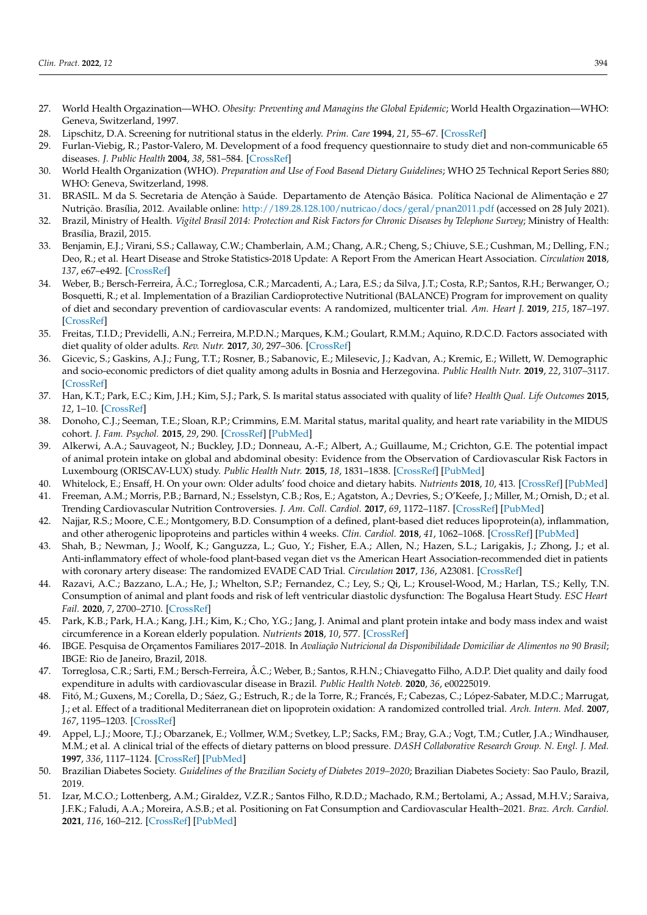- <span id="page-11-0"></span>27. World Health Orgazination—WHO. *Obesity: Preventing and Managins the Global Epidemic*; World Health Orgazination—WHO: Geneva, Switzerland, 1997.
- <span id="page-11-1"></span>28. Lipschitz, D.A. Screening for nutritional status in the elderly. *Prim. Care* **1994**, *21*, 55–67. [\[CrossRef\]](http://doi.org/10.1016/S0095-4543(21)00452-8)
- <span id="page-11-2"></span>29. Furlan-Viebig, R.; Pastor-Valero, M. Development of a food frequency questionnaire to study diet and non-communicable 65 diseases. *J. Public Health* **2004**, *38*, 581–584. [\[CrossRef\]](http://doi.org/10.1590/S0034-89102004000400016)
- <span id="page-11-3"></span>30. World Health Organization (WHO). *Preparation and Use of Food Basead Dietary Guidelines*; WHO 25 Technical Report Series 880; WHO: Geneva, Switzerland, 1998.
- <span id="page-11-4"></span>31. BRASIL. M da S. Secretaria de Atenção à Saúde. Departamento de Atenção Básica. Política Nacional de Alimentação e 27 Nutrição. Brasília, 2012. Available online: <http://189.28.128.100/nutricao/docs/geral/pnan2011.pdf> (accessed on 28 July 2021).
- <span id="page-11-5"></span>32. Brazil, Ministry of Health. *Vigitel Brasil 2014: Protection and Risk Factors for Chronic Diseases by Telephone Survey*; Ministry of Health: Brasília, Brazil, 2015.
- <span id="page-11-6"></span>33. Benjamin, E.J.; Virani, S.S.; Callaway, C.W.; Chamberlain, A.M.; Chang, A.R.; Cheng, S.; Chiuve, S.E.; Cushman, M.; Delling, F.N.; Deo, R.; et al. Heart Disease and Stroke Statistics-2018 Update: A Report From the American Heart Association. *Circulation* **2018**, *137*, e67–e492. [\[CrossRef\]](http://doi.org/10.1161/CIR.0000000000000558)
- <span id="page-11-7"></span>34. Weber, B.; Bersch-Ferreira, Â.C.; Torreglosa, C.R.; Marcadenti, A.; Lara, E.S.; da Silva, J.T.; Costa, R.P.; Santos, R.H.; Berwanger, O.; Bosquetti, R.; et al. Implementation of a Brazilian Cardioprotective Nutritional (BALANCE) Program for improvement on quality of diet and secondary prevention of cardiovascular events: A randomized, multicenter trial. *Am. Heart J.* **2019**, *215*, 187–197. [\[CrossRef\]](http://doi.org/10.1016/j.ahj.2019.06.010)
- <span id="page-11-8"></span>35. Freitas, T.I.D.; Previdelli, A.N.; Ferreira, M.P.D.N.; Marques, K.M.; Goulart, R.M.M.; Aquino, R.D.C.D. Factors associated with diet quality of older adults. *Rev. Nutr.* **2017**, *30*, 297–306. [\[CrossRef\]](http://doi.org/10.1590/1678-98652017000300003)
- 36. Gicevic, S.; Gaskins, A.J.; Fung, T.T.; Rosner, B.; Sabanovic, E.; Milesevic, J.; Kadvan, A.; Kremic, E.; Willett, W. Demographic and socio-economic predictors of diet quality among adults in Bosnia and Herzegovina. *Public Health Nutr.* **2019**, *22*, 3107–3117. [\[CrossRef\]](http://doi.org/10.1017/S1368980019001988)
- 37. Han, K.T.; Park, E.C.; Kim, J.H.; Kim, S.J.; Park, S. Is marital status associated with quality of life? *Health Qual. Life Outcomes* **2015**, *12*, 1–10. [\[CrossRef\]](http://doi.org/10.1186/s12955-014-0109-0)
- <span id="page-11-9"></span>38. Donoho, C.J.; Seeman, T.E.; Sloan, R.P.; Crimmins, E.M. Marital status, marital quality, and heart rate variability in the MIDUS cohort. *J. Fam. Psychol.* **2015**, *29*, 290. [\[CrossRef\]](http://doi.org/10.1037/fam0000068) [\[PubMed\]](http://www.ncbi.nlm.nih.gov/pubmed/25844496)
- <span id="page-11-10"></span>39. Alkerwi, A.A.; Sauvageot, N.; Buckley, J.D.; Donneau, A.-F.; Albert, A.; Guillaume, M.; Crichton, G.E. The potential impact of animal protein intake on global and abdominal obesity: Evidence from the Observation of Cardiovascular Risk Factors in Luxembourg (ORISCAV-LUX) study. *Public Health Nutr.* **2015**, *18*, 1831–1838. [\[CrossRef\]](http://doi.org/10.1017/S1368980014002596) [\[PubMed\]](http://www.ncbi.nlm.nih.gov/pubmed/25611401)
- <span id="page-11-11"></span>40. Whitelock, E.; Ensaff, H. On your own: Older adults' food choice and dietary habits. *Nutrients* **2018**, *10*, 413. [\[CrossRef\]](http://doi.org/10.3390/nu10040413) [\[PubMed\]](http://www.ncbi.nlm.nih.gov/pubmed/29584644)
- <span id="page-11-12"></span>41. Freeman, A.M.; Morris, P.B.; Barnard, N.; Esselstyn, C.B.; Ros, E.; Agatston, A.; Devries, S.; O'Keefe, J.; Miller, M.; Ornish, D.; et al. Trending Cardiovascular Nutrition Controversies. *J. Am. Coll. Cardiol.* **2017**, *69*, 1172–1187. [\[CrossRef\]](http://doi.org/10.1016/j.jacc.2016.10.086) [\[PubMed\]](http://www.ncbi.nlm.nih.gov/pubmed/28254181)
- 42. Najjar, R.S.; Moore, C.E.; Montgomery, B.D. Consumption of a defined, plant-based diet reduces lipoprotein(a), inflammation, and other atherogenic lipoproteins and particles within 4 weeks. *Clin. Cardiol.* **2018**, *41*, 1062–1068. [\[CrossRef\]](http://doi.org/10.1002/clc.23027) [\[PubMed\]](http://www.ncbi.nlm.nih.gov/pubmed/30014498)
- <span id="page-11-13"></span>43. Shah, B.; Newman, J.; Woolf, K.; Ganguzza, L.; Guo, Y.; Fisher, E.A.; Allen, N.; Hazen, S.L.; Larigakis, J.; Zhong, J.; et al. Anti-inflammatory effect of whole-food plant-based vegan diet vs the American Heart Association-recommended diet in patients with coronary artery disease: The randomized EVADE CAD Trial. *Circulation* **2017**, *136*, A23081. [\[CrossRef\]](http://doi.org/10.1161/circ.136.suppl_1.23081)
- <span id="page-11-14"></span>44. Razavi, A.C.; Bazzano, L.A.; He, J.; Whelton, S.P.; Fernandez, C.; Ley, S.; Qi, L.; Krousel-Wood, M.; Harlan, T.S.; Kelly, T.N. Consumption of animal and plant foods and risk of left ventricular diastolic dysfunction: The Bogalusa Heart Study. *ESC Heart Fail.* **2020**, *7*, 2700–2710. [\[CrossRef\]](http://doi.org/10.1002/ehf2.12859)
- <span id="page-11-15"></span>45. Park, K.B.; Park, H.A.; Kang, J.H.; Kim, K.; Cho, Y.G.; Jang, J. Animal and plant protein intake and body mass index and waist circumference in a Korean elderly population. *Nutrients* **2018**, *10*, 577. [\[CrossRef\]](http://doi.org/10.3390/nu10050577)
- <span id="page-11-16"></span>46. IBGE. Pesquisa de Orçamentos Familiares 2017–2018. In *Avaliação Nutricional da Disponibilidade Domiciliar de Alimentos no 90 Brasil*; IBGE: Rio de Janeiro, Brazil, 2018.
- <span id="page-11-17"></span>47. Torreglosa, C.R.; Sarti, F.M.; Bersch-Ferreira, Â.C.; Weber, B.; Santos, R.H.N.; Chiavegatto Filho, A.D.P. Diet quality and daily food expenditure in adults with cardiovascular disease in Brazil. *Public Health Noteb.* **2020**, *36*, e00225019.
- 48. Fitó, M.; Guxens, M.; Corella, D.; Sáez, G.; Estruch, R.; de la Torre, R.; Francés, F.; Cabezas, C.; López-Sabater, M.D.C.; Marrugat, J.; et al. Effect of a traditional Mediterranean diet on lipoprotein oxidation: A randomized controlled trial. *Arch. Intern. Med.* **2007**, *167*, 1195–1203. [\[CrossRef\]](http://doi.org/10.1001/archinte.167.11.1195)
- 49. Appel, L.J.; Moore, T.J.; Obarzanek, E.; Vollmer, W.M.; Svetkey, L.P.; Sacks, F.M.; Bray, G.A.; Vogt, T.M.; Cutler, J.A.; Windhauser, M.M.; et al. A clinical trial of the effects of dietary patterns on blood pressure. *DASH Collaborative Research Group. N. Engl. J. Med.* **1997**, *336*, 1117–1124. [\[CrossRef\]](http://doi.org/10.1056/NEJM199704173361601) [\[PubMed\]](http://www.ncbi.nlm.nih.gov/pubmed/9099655)
- <span id="page-11-18"></span>50. Brazilian Diabetes Society. *Guidelines of the Brazilian Society of Diabetes 2019–2020*; Brazilian Diabetes Society: Sao Paulo, Brazil, 2019.
- <span id="page-11-19"></span>51. Izar, M.C.O.; Lottenberg, A.M.; Giraldez, V.Z.R.; Santos Filho, R.D.D.; Machado, R.M.; Bertolami, A.; Assad, M.H.V.; Saraiva, J.F.K.; Faludi, A.A.; Moreira, A.S.B.; et al. Positioning on Fat Consumption and Cardiovascular Health–2021. *Braz. Arch. Cardiol.* **2021**, *116*, 160–212. [\[CrossRef\]](http://doi.org/10.36660/abc.20201340) [\[PubMed\]](http://www.ncbi.nlm.nih.gov/pubmed/33566983)